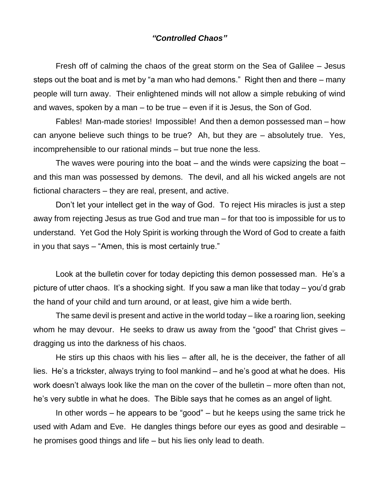## *"Controlled Chaos"*

Fresh off of calming the chaos of the great storm on the Sea of Galilee – Jesus steps out the boat and is met by "a man who had demons." Right then and there – many people will turn away. Their enlightened minds will not allow a simple rebuking of wind and waves, spoken by a man – to be true – even if it is Jesus, the Son of God.

Fables! Man-made stories! Impossible! And then a demon possessed man – how can anyone believe such things to be true? Ah, but they are – absolutely true. Yes, incomprehensible to our rational minds – but true none the less.

The waves were pouring into the boat – and the winds were capsizing the boat – and this man was possessed by demons. The devil, and all his wicked angels are not fictional characters – they are real, present, and active.

Don't let your intellect get in the way of God. To reject His miracles is just a step away from rejecting Jesus as true God and true man – for that too is impossible for us to understand. Yet God the Holy Spirit is working through the Word of God to create a faith in you that says – "Amen, this is most certainly true."

Look at the bulletin cover for today depicting this demon possessed man. He's a picture of utter chaos. It's a shocking sight. If you saw a man like that today – you'd grab the hand of your child and turn around, or at least, give him a wide berth.

The same devil is present and active in the world today – like a roaring lion, seeking whom he may devour. He seeks to draw us away from the "good" that Christ gives – dragging us into the darkness of his chaos.

He stirs up this chaos with his lies – after all, he is the deceiver, the father of all lies. He's a trickster, always trying to fool mankind – and he's good at what he does. His work doesn't always look like the man on the cover of the bulletin – more often than not, he's very subtle in what he does. The Bible says that he comes as an angel of light.

In other words – he appears to be "good" – but he keeps using the same trick he used with Adam and Eve. He dangles things before our eyes as good and desirable – he promises good things and life – but his lies only lead to death.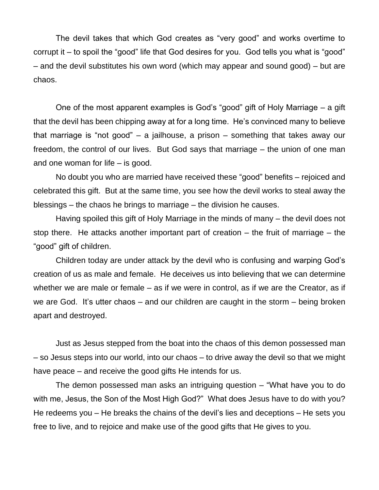The devil takes that which God creates as "very good" and works overtime to corrupt it – to spoil the "good" life that God desires for you. God tells you what is "good" – and the devil substitutes his own word (which may appear and sound good) – but are chaos.

One of the most apparent examples is God's "good" gift of Holy Marriage – a gift that the devil has been chipping away at for a long time. He's convinced many to believe that marriage is "not good" – a jailhouse, a prison – something that takes away our freedom, the control of our lives. But God says that marriage – the union of one man and one woman for life – is good.

No doubt you who are married have received these "good" benefits – rejoiced and celebrated this gift. But at the same time, you see how the devil works to steal away the blessings – the chaos he brings to marriage – the division he causes.

Having spoiled this gift of Holy Marriage in the minds of many – the devil does not stop there. He attacks another important part of creation – the fruit of marriage – the "good" gift of children.

Children today are under attack by the devil who is confusing and warping God's creation of us as male and female. He deceives us into believing that we can determine whether we are male or female – as if we were in control, as if we are the Creator, as if we are God. It's utter chaos – and our children are caught in the storm – being broken apart and destroyed.

Just as Jesus stepped from the boat into the chaos of this demon possessed man – so Jesus steps into our world, into our chaos – to drive away the devil so that we might have peace – and receive the good gifts He intends for us.

The demon possessed man asks an intriguing question – "What have you to do with me, Jesus, the Son of the Most High God?" What does Jesus have to do with you? He redeems you – He breaks the chains of the devil's lies and deceptions – He sets you free to live, and to rejoice and make use of the good gifts that He gives to you.